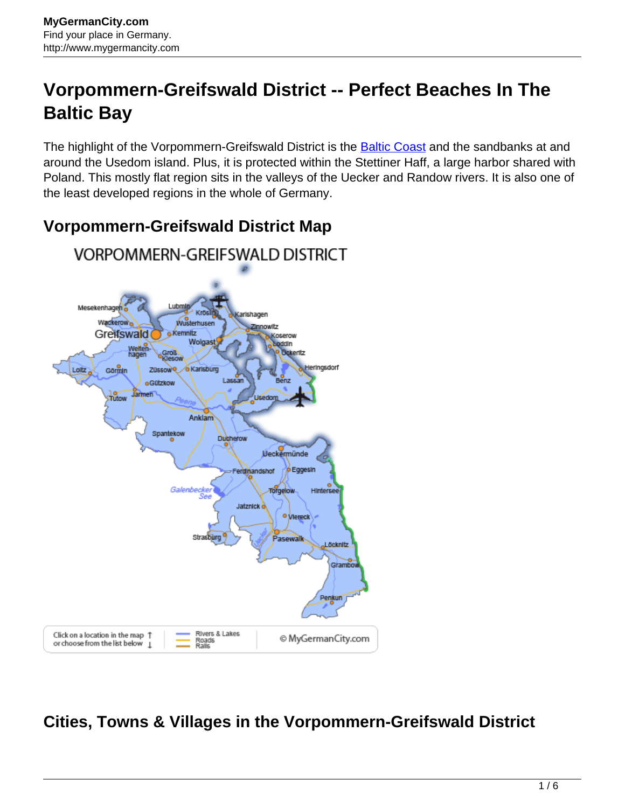# **Vorpommern-Greifswald District -- Perfect Beaches In The Baltic Bay**

The highlight of the Vorpommern-Greifswald District is the **Baltic Coast** and the sandbanks at and around the Usedom island. Plus, it is protected within the Stettiner Haff, a large harbor shared with Poland. This mostly flat region sits in the valleys of the Uecker and Randow rivers. It is also one of the least developed regions in the whole of Germany.

### **Vorpommern-Greifswald District Map**



## **Cities, Towns & Villages in the Vorpommern-Greifswald District**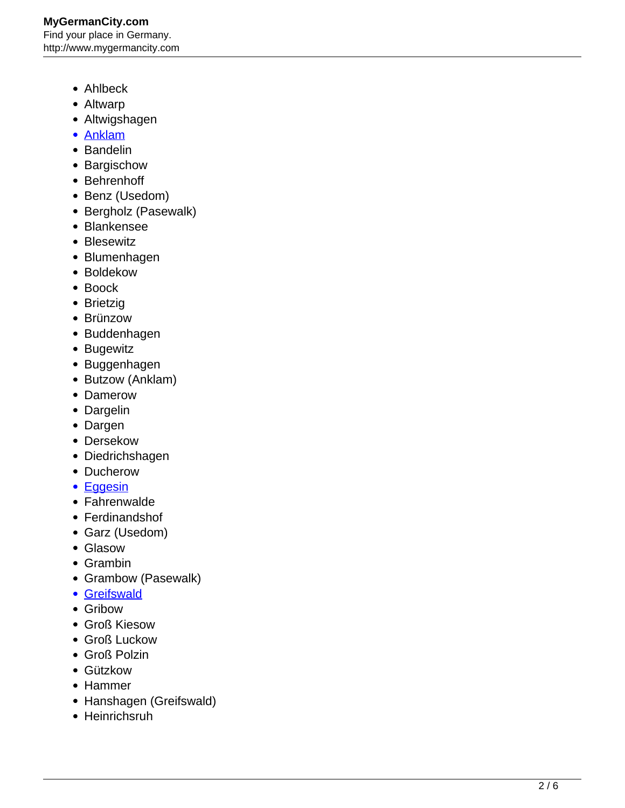### **MyGermanCity.com** Find your place in Germany. http://www.mygermancity.com

- Ahlbeck
- Altwarp
- Altwigshagen
- [Anklam](http://www.mygermancity.com/anklam)
- Bandelin
- Bargischow
- Behrenhoff
- Benz (Usedom)
- Bergholz (Pasewalk)
- Blankensee
- Blesewitz
- Blumenhagen
- Boldekow
- Boock
- Brietzig
- Brünzow
- Buddenhagen
- Bugewitz
- Buggenhagen
- Butzow (Anklam)
- Damerow
- Dargelin
- Dargen
- Dersekow
- Diedrichshagen
- Ducherow
- [Eggesin](http://www.mygermancity.com/eggesin)
- Fahrenwalde
- Ferdinandshof
- Garz (Usedom)
- Glasow
- Grambin
- Grambow (Pasewalk)
- [Greifswald](http://www.mygermancity.com/greifswald)
- Gribow
- Groß Kiesow
- Groß Luckow
- Groß Polzin
- Gützkow
- Hammer
- Hanshagen (Greifswald)
- Heinrichsruh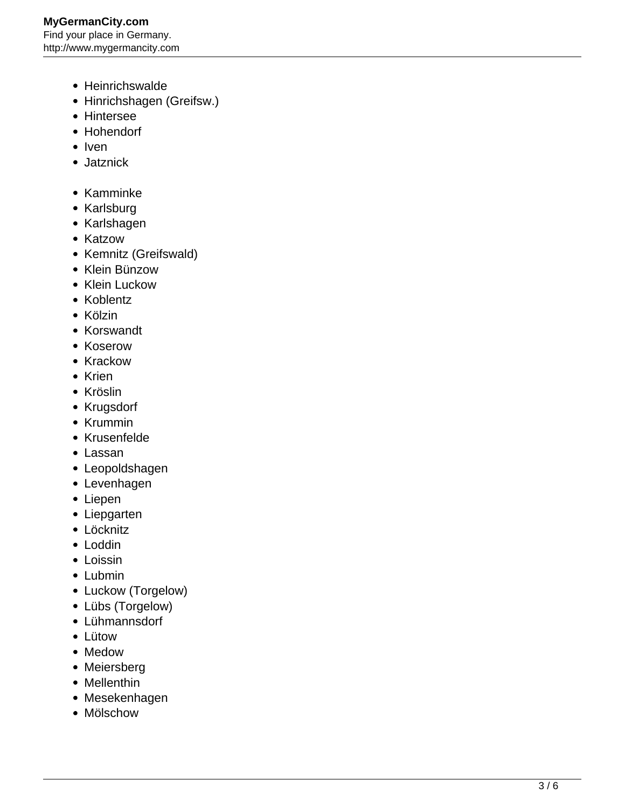#### **MyGermanCity.com** Find your place in Germany. http://www.mygermancity.com

- Heinrichswalde
- Hinrichshagen (Greifsw.)
- Hintersee
- Hohendorf
- Iven
- Jatznick
- Kamminke
- Karlsburg
- Karlshagen
- Katzow
- Kemnitz (Greifswald)
- Klein Bünzow
- Klein Luckow
- Koblentz
- Kölzin
- Korswandt
- Koserow
- Krackow
- Krien
- Kröslin
- Krugsdorf
- Krummin
- Krusenfelde
- Lassan
- Leopoldshagen
- Levenhagen
- Liepen
- Liepgarten
- Löcknitz
- Loddin
- Loissin
- Lubmin
- Luckow (Torgelow)
- Lübs (Torgelow)
- Lühmannsdorf
- Lütow
- Medow
- Meiersberg
- Mellenthin
- Mesekenhagen
- Mölschow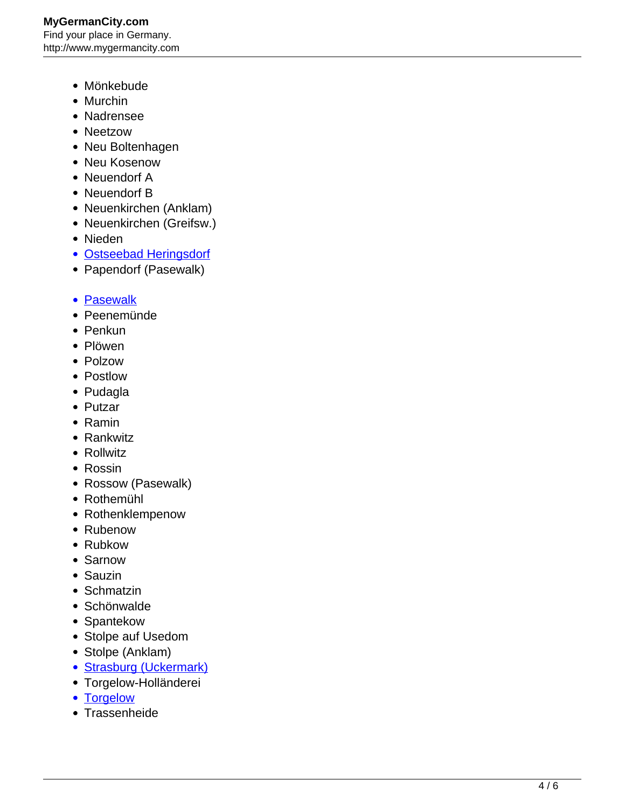- Mönkebude
- Murchin
- Nadrensee
- Neetzow
- Neu Boltenhagen
- Neu Kosenow
- Neuendorf A
- Neuendorf B
- Neuenkirchen (Anklam)
- Neuenkirchen (Greifsw.)
- Nieden
- [Ostseebad Heringsdorf](http://www.mygermancity.com/heringsdorf)
- Papendorf (Pasewalk)
- [Pasewalk](http://www.mygermancity.com/pasewalk)
- Peenemünde
- Penkun
- Plöwen
- Polzow
- Postlow
- Pudagla
- Putzar
- Ramin
- Rankwitz
- Rollwitz
- Rossin
- Rossow (Pasewalk)
- Rothemühl
- Rothenklempenow
- Rubenow
- Rubkow
- Sarnow
- Sauzin
- Schmatzin
- Schönwalde
- Spantekow
- Stolpe auf Usedom
- Stolpe (Anklam)
- [Strasburg \(Uckermark\)](http://www.mygermancity.com/strasburg-uckermark)
- Torgelow-Holländerei
- [Torgelow](http://www.mygermancity.com/torgelow)
- Trassenheide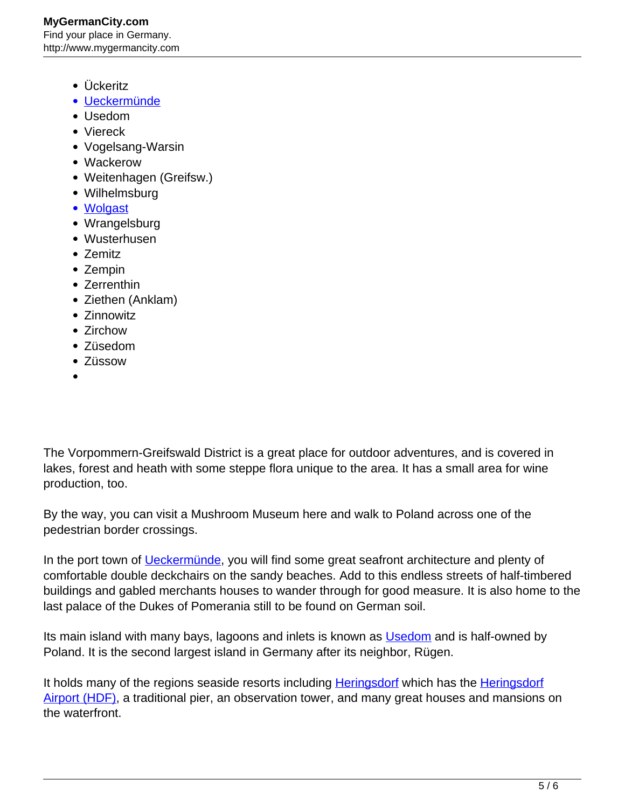- Ückeritz
- [Ueckermünde](http://www.mygermancity.com/ueckermuende)
- Usedom
- Viereck
- Vogelsang-Warsin
- Wackerow
- Weitenhagen (Greifsw.)
- Wilhelmsburg
- [Wolgast](http://www.mygermancity.com/wolgast)
- Wrangelsburg
- Wusterhusen
- Zemitz
- Zempin
- Zerrenthin
- Ziethen (Anklam)
- Zinnowitz
- Zirchow
- Züsedom
- Züssow
- 

The Vorpommern-Greifswald District is a great place for outdoor adventures, and is covered in lakes, forest and heath with some steppe flora unique to the area. It has a small area for wine production, too.

By the way, you can visit a Mushroom Museum here and walk to Poland across one of the pedestrian border crossings.

In the port town of *Ueckermünde*, you will find some great seafront architecture and plenty of comfortable double deckchairs on the sandy beaches. Add to this endless streets of half-timbered buildings and gabled merchants houses to wander through for good measure. It is also home to the last palace of the Dukes of Pomerania still to be found on German soil.

Its main island with many bays, lagoons and inlets is known as [Usedom](http://www.mygermancity.com/usedom) and is half-owned by Poland. It is the second largest island in Germany after its neighbor, Rügen.

It holds many of the regions seaside resorts including **[Heringsdorf](http://www.mygermancity.com/heringsdorf-airport)** which has the Heringsdorf [Airport \(HDF\),](http://www.mygermancity.com/heringsdorf-airport) a traditional pier, an observation tower, and many great houses and mansions on the waterfront.